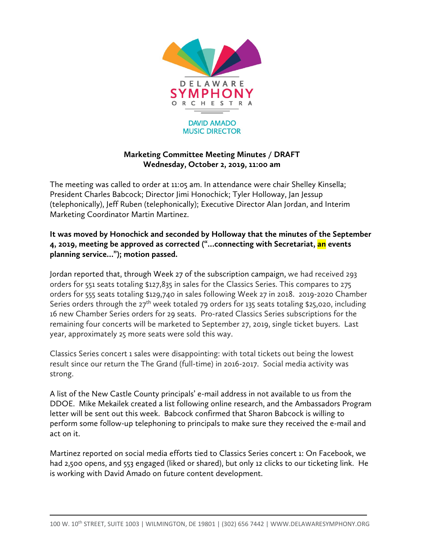

## **Marketing Committee Meeting Minutes / DRAFT Wednesday, October 2, 2019, 11:00 am**

The meeting was called to order at 11:05 am. In attendance were chair Shelley Kinsella; President Charles Babcock; Director Jimi Honochick; Tyler Holloway, Jan Jessup (telephonically), Jeff Ruben (telephonically); Executive Director Alan Jordan, and Interim Marketing Coordinator Martin Martinez.

## **It was moved by Honochick and seconded by Holloway that the minutes of the September 4, 2019, meeting be approved as corrected ("…connecting with Secretariat, an events planning service…"); motion passed.**

Jordan reported that, through Week 27 of the subscription campaign, we had received 293 orders for 551 seats totaling \$127,835 in sales for the Classics Series. This compares to 275 orders for 555 seats totaling \$129,740 in sales following Week 27 in 2018. 2019-2020 Chamber Series orders through the  $27<sup>th</sup>$  week totaled 79 orders for 135 seats totaling \$25,020, including 16 new Chamber Series orders for 29 seats. Pro-rated Classics Series subscriptions for the remaining four concerts will be marketed to September 27, 2019, single ticket buyers. Last year, approximately 25 more seats were sold this way.

Classics Series concert 1 sales were disappointing: with total tickets out being the lowest result since our return the The Grand (full-time) in 2016-2017. Social media activity was strong.

A list of the New Castle County principals' e-mail address in not available to us from the DDOE. Mike Mekailek created a list following online research, and the Ambassadors Program letter will be sent out this week. Babcock confirmed that Sharon Babcock is willing to perform some follow-up telephoning to principals to make sure they received the e-mail and act on it.

Martinez reported on social media efforts tied to Classics Series concert 1: On Facebook, we had 2,500 opens, and 553 engaged (liked or shared), but only 12 clicks to our ticketing link. He is working with David Amado on future content development.